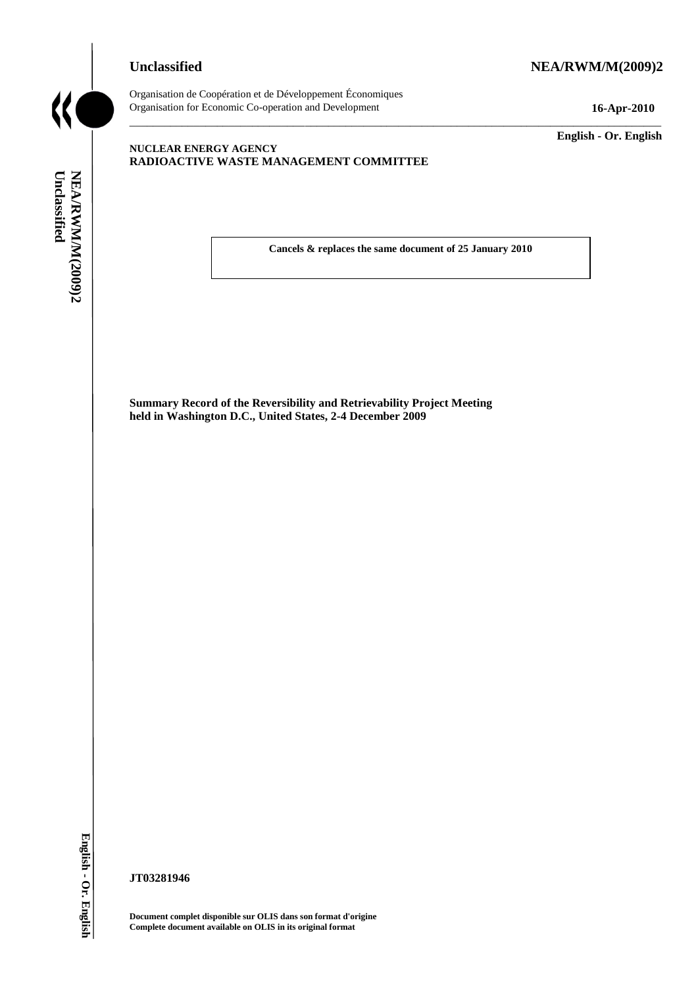# **Unclassified NEA/RWM/M(2009)2**



Organisation de Coopération et de Développement Économiques Organisation for Economic Co-operation and Development **16-Apr-2010**

\_\_\_\_\_\_\_\_\_\_\_\_\_ **English - Or. English**

# **NUCLEAR ENERGY AGENCY RADIOACTIVE WASTE MANAGEMENT COMMITTEE**

**Cancels & replaces the same document of 25 January 2010**

\_\_\_\_\_\_\_\_\_\_\_\_\_\_\_\_\_\_\_\_\_\_\_\_\_\_\_\_\_\_\_\_\_\_\_\_\_\_\_\_\_\_\_\_\_\_\_\_\_\_\_\_\_\_\_\_\_\_\_\_\_\_\_\_\_\_\_\_\_\_\_\_\_\_\_\_\_\_\_\_\_\_\_\_\_\_\_\_\_\_\_

**Summary Record of the Reversibility and Retrievability Project Meeting held in Washington D.C., United States, 2-4 December 2009 Cancels & replaces<br>
Complete document Webor (Fig. 1976)<br>
Summary Record of the Reversibility and Re<br>
Red in Washington D.C., United States, 2-4 I<br>
<b>Complete document complet** disposible are OLIS dans son format d'or.<br>
Eng

**JT03281946**

**Document complet disponible sur OLIS dans son format d'origine**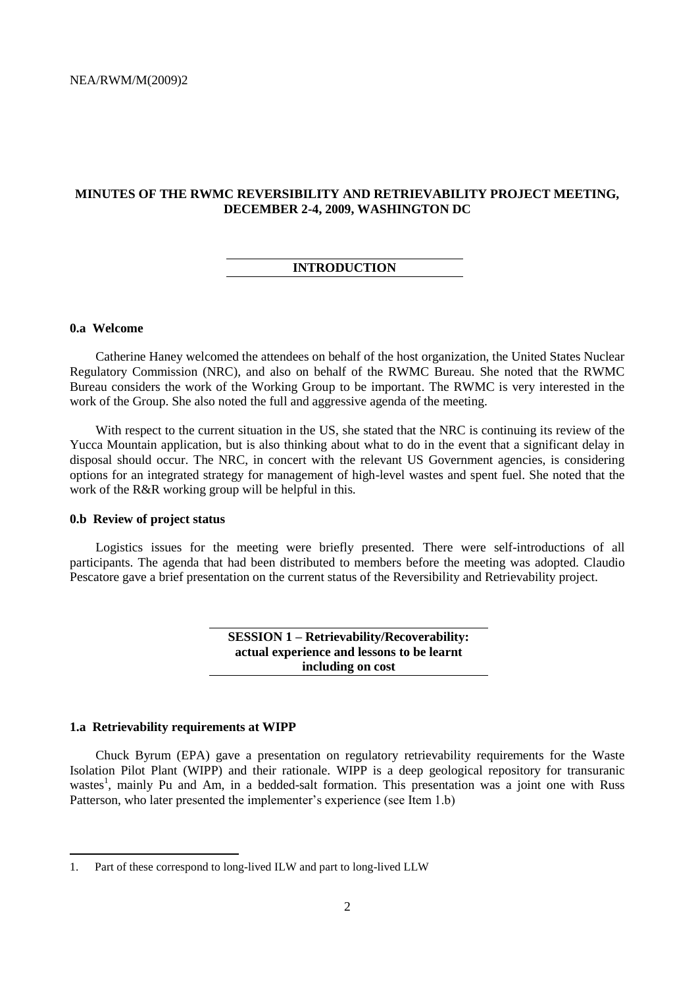# **MINUTES OF THE RWMC REVERSIBILITY AND RETRIEVABILITY PROJECT MEETING, DECEMBER 2-4, 2009, WASHINGTON DC**

## **INTRODUCTION**

# **0.a Welcome**

Catherine Haney welcomed the attendees on behalf of the host organization, the United States Nuclear Regulatory Commission (NRC), and also on behalf of the RWMC Bureau. She noted that the RWMC Bureau considers the work of the Working Group to be important. The RWMC is very interested in the work of the Group. She also noted the full and aggressive agenda of the meeting.

With respect to the current situation in the US, she stated that the NRC is continuing its review of the Yucca Mountain application, but is also thinking about what to do in the event that a significant delay in disposal should occur. The NRC, in concert with the relevant US Government agencies, is considering options for an integrated strategy for management of high-level wastes and spent fuel. She noted that the work of the R&R working group will be helpful in this.

# **0.b Review of project status**

Logistics issues for the meeting were briefly presented. There were self-introductions of all participants. The agenda that had been distributed to members before the meeting was adopted. Claudio Pescatore gave a brief presentation on the current status of the Reversibility and Retrievability project.

> **SESSION 1 – Retrievability/Recoverability: actual experience and lessons to be learnt including on cost**

#### **1.a Retrievability requirements at WIPP**

 $\overline{a}$ 

Chuck Byrum (EPA) gave a presentation on regulatory retrievability requirements for the Waste Isolation Pilot Plant (WIPP) and their rationale. WIPP is a deep geological repository for transuranic wastes<sup>1</sup>, mainly Pu and Am, in a bedded-salt formation. This presentation was a joint one with Russ Patterson, who later presented the implementer's experience (see Item 1.b)

<sup>1.</sup> Part of these correspond to long-lived ILW and part to long-lived LLW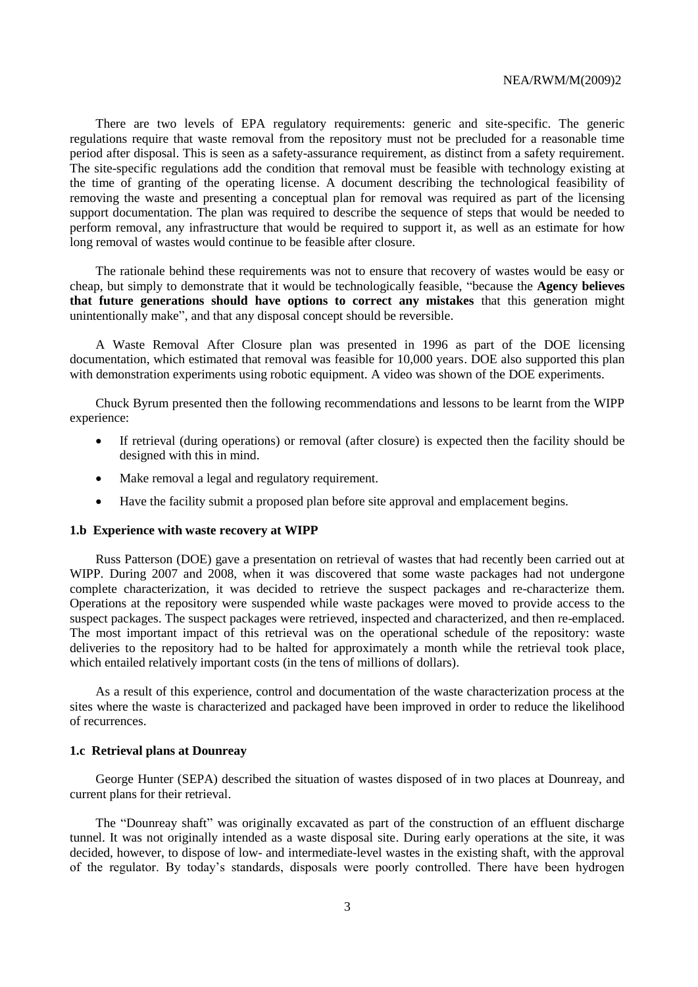There are two levels of EPA regulatory requirements: generic and site-specific. The generic regulations require that waste removal from the repository must not be precluded for a reasonable time period after disposal. This is seen as a safety-assurance requirement, as distinct from a safety requirement. The site-specific regulations add the condition that removal must be feasible with technology existing at the time of granting of the operating license. A document describing the technological feasibility of removing the waste and presenting a conceptual plan for removal was required as part of the licensing support documentation. The plan was required to describe the sequence of steps that would be needed to perform removal, any infrastructure that would be required to support it, as well as an estimate for how long removal of wastes would continue to be feasible after closure.

The rationale behind these requirements was not to ensure that recovery of wastes would be easy or cheap, but simply to demonstrate that it would be technologically feasible, "because the **Agency believes that future generations should have options to correct any mistakes** that this generation might unintentionally make", and that any disposal concept should be reversible.

A Waste Removal After Closure plan was presented in 1996 as part of the DOE licensing documentation, which estimated that removal was feasible for 10,000 years. DOE also supported this plan with demonstration experiments using robotic equipment. A video was shown of the DOE experiments.

Chuck Byrum presented then the following recommendations and lessons to be learnt from the WIPP experience:

- If retrieval (during operations) or removal (after closure) is expected then the facility should be designed with this in mind.
- Make removal a legal and regulatory requirement.
- Have the facility submit a proposed plan before site approval and emplacement begins.

#### **1.b Experience with waste recovery at WIPP**

Russ Patterson (DOE) gave a presentation on retrieval of wastes that had recently been carried out at WIPP. During 2007 and 2008, when it was discovered that some waste packages had not undergone complete characterization, it was decided to retrieve the suspect packages and re-characterize them. Operations at the repository were suspended while waste packages were moved to provide access to the suspect packages. The suspect packages were retrieved, inspected and characterized, and then re-emplaced. The most important impact of this retrieval was on the operational schedule of the repository: waste deliveries to the repository had to be halted for approximately a month while the retrieval took place, which entailed relatively important costs (in the tens of millions of dollars).

As a result of this experience, control and documentation of the waste characterization process at the sites where the waste is characterized and packaged have been improved in order to reduce the likelihood of recurrences.

## **1.c Retrieval plans at Dounreay**

George Hunter (SEPA) described the situation of wastes disposed of in two places at Dounreay, and current plans for their retrieval.

The "Dounreay shaft" was originally excavated as part of the construction of an effluent discharge tunnel. It was not originally intended as a waste disposal site. During early operations at the site, it was decided, however, to dispose of low- and intermediate-level wastes in the existing shaft, with the approval of the regulator. By today's standards, disposals were poorly controlled. There have been hydrogen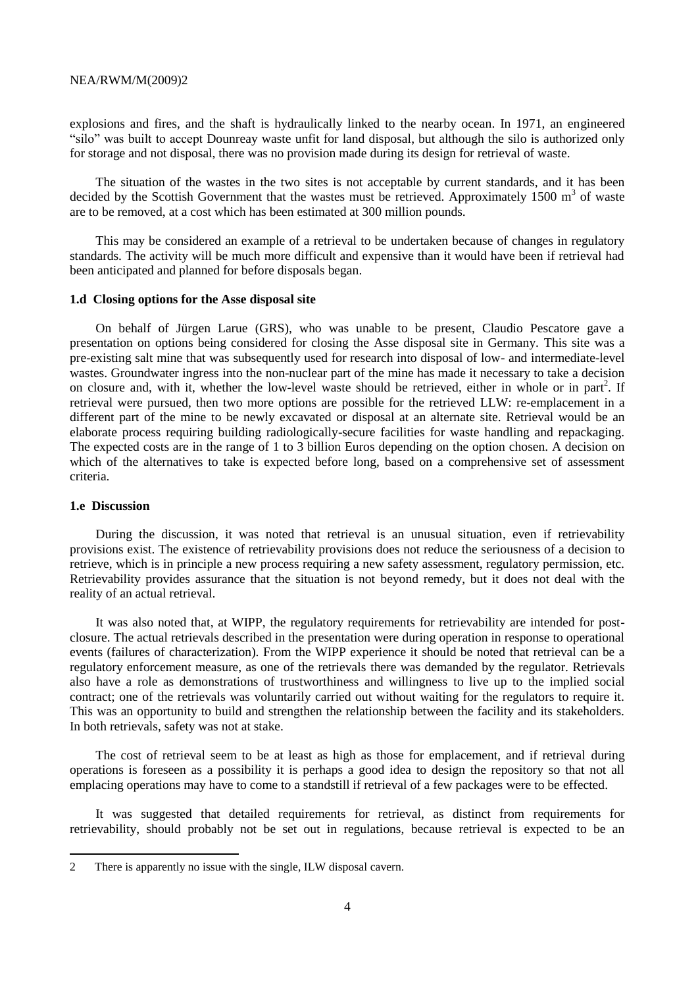explosions and fires, and the shaft is hydraulically linked to the nearby ocean. In 1971, an engineered "silo" was built to accept Dounreay waste unfit for land disposal, but although the silo is authorized only for storage and not disposal, there was no provision made during its design for retrieval of waste.

The situation of the wastes in the two sites is not acceptable by current standards, and it has been decided by the Scottish Government that the wastes must be retrieved. Approximately 1500  $m<sup>3</sup>$  of waste are to be removed, at a cost which has been estimated at 300 million pounds.

This may be considered an example of a retrieval to be undertaken because of changes in regulatory standards. The activity will be much more difficult and expensive than it would have been if retrieval had been anticipated and planned for before disposals began.

#### **1.d Closing options for the Asse disposal site**

On behalf of Jürgen Larue (GRS), who was unable to be present, Claudio Pescatore gave a presentation on options being considered for closing the Asse disposal site in Germany. This site was a pre-existing salt mine that was subsequently used for research into disposal of low- and intermediate-level wastes. Groundwater ingress into the non-nuclear part of the mine has made it necessary to take a decision on closure and, with it, whether the low-level waste should be retrieved, either in whole or in part<sup>2</sup>. If retrieval were pursued, then two more options are possible for the retrieved LLW: re-emplacement in a different part of the mine to be newly excavated or disposal at an alternate site. Retrieval would be an elaborate process requiring building radiologically-secure facilities for waste handling and repackaging. The expected costs are in the range of 1 to 3 billion Euros depending on the option chosen. A decision on which of the alternatives to take is expected before long, based on a comprehensive set of assessment criteria.

# **1.e Discussion**

 $\overline{a}$ 

During the discussion, it was noted that retrieval is an unusual situation, even if retrievability provisions exist. The existence of retrievability provisions does not reduce the seriousness of a decision to retrieve, which is in principle a new process requiring a new safety assessment, regulatory permission, etc. Retrievability provides assurance that the situation is not beyond remedy, but it does not deal with the reality of an actual retrieval.

It was also noted that, at WIPP, the regulatory requirements for retrievability are intended for postclosure. The actual retrievals described in the presentation were during operation in response to operational events (failures of characterization). From the WIPP experience it should be noted that retrieval can be a regulatory enforcement measure, as one of the retrievals there was demanded by the regulator. Retrievals also have a role as demonstrations of trustworthiness and willingness to live up to the implied social contract; one of the retrievals was voluntarily carried out without waiting for the regulators to require it. This was an opportunity to build and strengthen the relationship between the facility and its stakeholders. In both retrievals, safety was not at stake.

The cost of retrieval seem to be at least as high as those for emplacement, and if retrieval during operations is foreseen as a possibility it is perhaps a good idea to design the repository so that not all emplacing operations may have to come to a standstill if retrieval of a few packages were to be effected.

It was suggested that detailed requirements for retrieval, as distinct from requirements for retrievability, should probably not be set out in regulations, because retrieval is expected to be an

<sup>2</sup> There is apparently no issue with the single, ILW disposal cavern.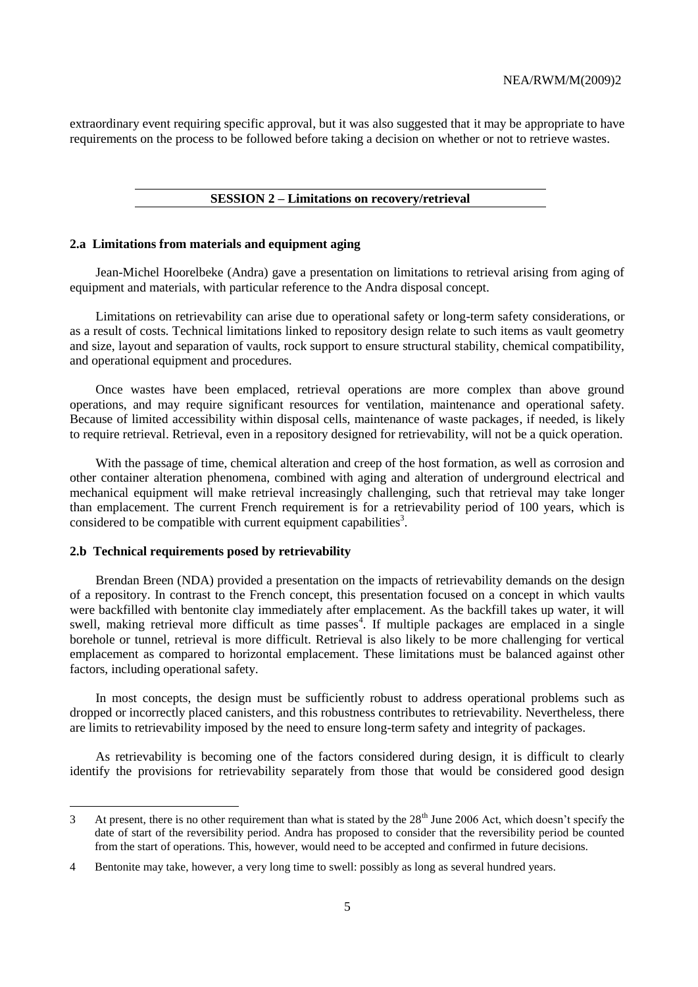extraordinary event requiring specific approval, but it was also suggested that it may be appropriate to have requirements on the process to be followed before taking a decision on whether or not to retrieve wastes.

# **SESSION 2 – Limitations on recovery/retrieval**

#### **2.a Limitations from materials and equipment aging**

Jean-Michel Hoorelbeke (Andra) gave a presentation on limitations to retrieval arising from aging of equipment and materials, with particular reference to the Andra disposal concept.

Limitations on retrievability can arise due to operational safety or long-term safety considerations, or as a result of costs. Technical limitations linked to repository design relate to such items as vault geometry and size, layout and separation of vaults, rock support to ensure structural stability, chemical compatibility, and operational equipment and procedures.

Once wastes have been emplaced, retrieval operations are more complex than above ground operations, and may require significant resources for ventilation, maintenance and operational safety. Because of limited accessibility within disposal cells, maintenance of waste packages, if needed, is likely to require retrieval. Retrieval, even in a repository designed for retrievability, will not be a quick operation.

With the passage of time, chemical alteration and creep of the host formation, as well as corrosion and other container alteration phenomena, combined with aging and alteration of underground electrical and mechanical equipment will make retrieval increasingly challenging, such that retrieval may take longer than emplacement. The current French requirement is for a retrievability period of 100 years, which is considered to be compatible with current equipment capabilities<sup>3</sup>.

#### **2.b Technical requirements posed by retrievability**

 $\overline{a}$ 

Brendan Breen (NDA) provided a presentation on the impacts of retrievability demands on the design of a repository. In contrast to the French concept, this presentation focused on a concept in which vaults were backfilled with bentonite clay immediately after emplacement. As the backfill takes up water, it will swell, making retrieval more difficult as time passes<sup>4</sup>. If multiple packages are emplaced in a single borehole or tunnel, retrieval is more difficult. Retrieval is also likely to be more challenging for vertical emplacement as compared to horizontal emplacement. These limitations must be balanced against other factors, including operational safety.

In most concepts, the design must be sufficiently robust to address operational problems such as dropped or incorrectly placed canisters, and this robustness contributes to retrievability. Nevertheless, there are limits to retrievability imposed by the need to ensure long-term safety and integrity of packages.

As retrievability is becoming one of the factors considered during design, it is difficult to clearly identify the provisions for retrievability separately from those that would be considered good design

<sup>3</sup> At present, there is no other requirement than what is stated by the  $28<sup>th</sup>$  June 2006 Act, which doesn't specify the date of start of the reversibility period. Andra has proposed to consider that the reversibility period be counted from the start of operations. This, however, would need to be accepted and confirmed in future decisions.

<sup>4</sup> Bentonite may take, however, a very long time to swell: possibly as long as several hundred years.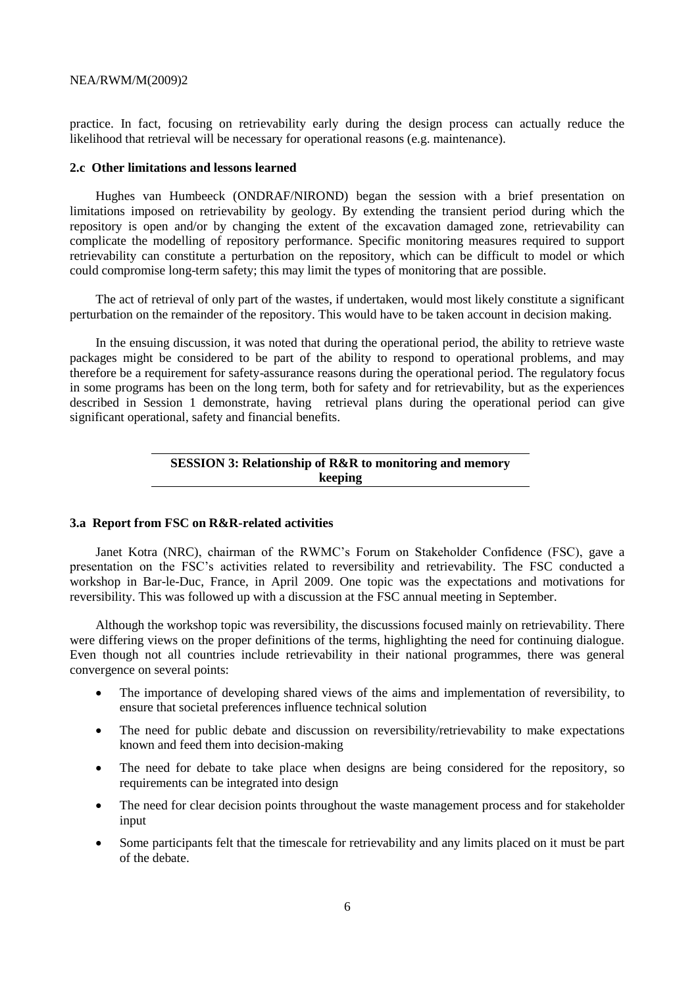practice. In fact, focusing on retrievability early during the design process can actually reduce the likelihood that retrieval will be necessary for operational reasons (e.g. maintenance).

#### **2.c Other limitations and lessons learned**

Hughes van Humbeeck (ONDRAF/NIROND) began the session with a brief presentation on limitations imposed on retrievability by geology. By extending the transient period during which the repository is open and/or by changing the extent of the excavation damaged zone, retrievability can complicate the modelling of repository performance. Specific monitoring measures required to support retrievability can constitute a perturbation on the repository, which can be difficult to model or which could compromise long-term safety; this may limit the types of monitoring that are possible.

The act of retrieval of only part of the wastes, if undertaken, would most likely constitute a significant perturbation on the remainder of the repository. This would have to be taken account in decision making.

In the ensuing discussion, it was noted that during the operational period, the ability to retrieve waste packages might be considered to be part of the ability to respond to operational problems, and may therefore be a requirement for safety-assurance reasons during the operational period. The regulatory focus in some programs has been on the long term, both for safety and for retrievability, but as the experiences described in Session 1 demonstrate, having retrieval plans during the operational period can give significant operational, safety and financial benefits.

# **SESSION 3: Relationship of R&R to monitoring and memory keeping**

#### **3.a Report from FSC on R&R-related activities**

Janet Kotra (NRC), chairman of the RWMC's Forum on Stakeholder Confidence (FSC), gave a presentation on the FSC's activities related to reversibility and retrievability. The FSC conducted a workshop in Bar-le-Duc, France, in April 2009. One topic was the expectations and motivations for reversibility. This was followed up with a discussion at the FSC annual meeting in September.

Although the workshop topic was reversibility, the discussions focused mainly on retrievability. There were differing views on the proper definitions of the terms, highlighting the need for continuing dialogue. Even though not all countries include retrievability in their national programmes, there was general convergence on several points:

- The importance of developing shared views of the aims and implementation of reversibility, to ensure that societal preferences influence technical solution
- The need for public debate and discussion on reversibility/retrievability to make expectations known and feed them into decision-making
- The need for debate to take place when designs are being considered for the repository, so requirements can be integrated into design
- The need for clear decision points throughout the waste management process and for stakeholder input
- Some participants felt that the timescale for retrievability and any limits placed on it must be part of the debate.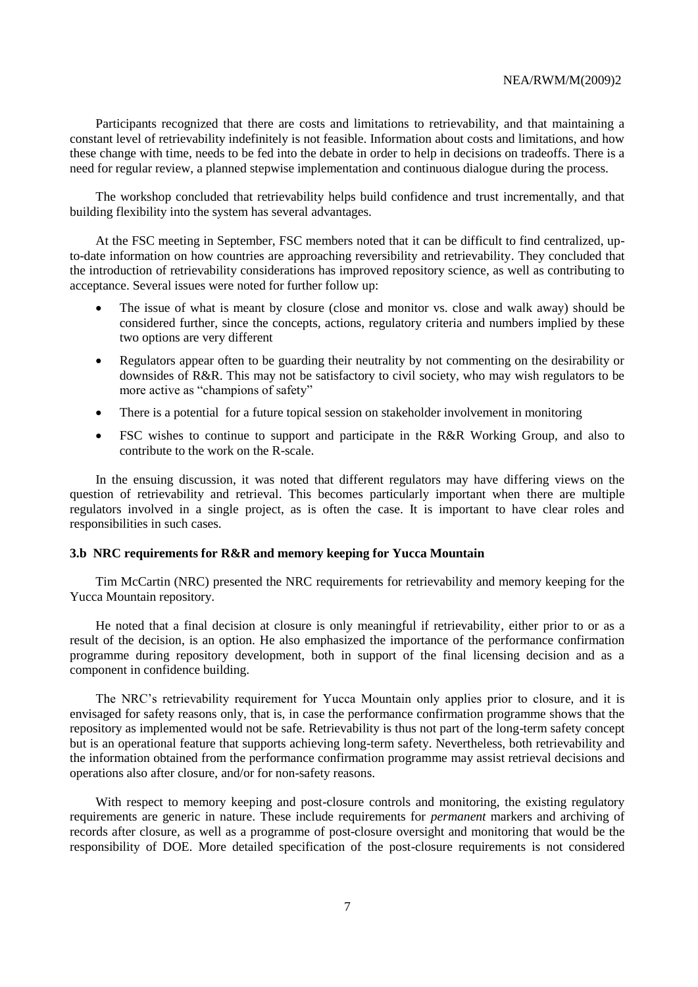Participants recognized that there are costs and limitations to retrievability, and that maintaining a constant level of retrievability indefinitely is not feasible. Information about costs and limitations, and how these change with time, needs to be fed into the debate in order to help in decisions on tradeoffs. There is a need for regular review, a planned stepwise implementation and continuous dialogue during the process.

The workshop concluded that retrievability helps build confidence and trust incrementally, and that building flexibility into the system has several advantages.

At the FSC meeting in September, FSC members noted that it can be difficult to find centralized, upto-date information on how countries are approaching reversibility and retrievability. They concluded that the introduction of retrievability considerations has improved repository science, as well as contributing to acceptance. Several issues were noted for further follow up:

- The issue of what is meant by closure (close and monitor vs. close and walk away) should be considered further, since the concepts, actions, regulatory criteria and numbers implied by these two options are very different
- Regulators appear often to be guarding their neutrality by not commenting on the desirability or downsides of R&R. This may not be satisfactory to civil society, who may wish regulators to be more active as "champions of safety"
- There is a potential for a future topical session on stakeholder involvement in monitoring
- FSC wishes to continue to support and participate in the R&R Working Group, and also to contribute to the work on the R-scale.

In the ensuing discussion, it was noted that different regulators may have differing views on the question of retrievability and retrieval. This becomes particularly important when there are multiple regulators involved in a single project, as is often the case. It is important to have clear roles and responsibilities in such cases.

# **3.b NRC requirements for R&R and memory keeping for Yucca Mountain**

Tim McCartin (NRC) presented the NRC requirements for retrievability and memory keeping for the Yucca Mountain repository.

He noted that a final decision at closure is only meaningful if retrievability, either prior to or as a result of the decision, is an option. He also emphasized the importance of the performance confirmation programme during repository development, both in support of the final licensing decision and as a component in confidence building.

The NRC's retrievability requirement for Yucca Mountain only applies prior to closure, and it is envisaged for safety reasons only, that is, in case the performance confirmation programme shows that the repository as implemented would not be safe. Retrievability is thus not part of the long-term safety concept but is an operational feature that supports achieving long-term safety. Nevertheless, both retrievability and the information obtained from the performance confirmation programme may assist retrieval decisions and operations also after closure, and/or for non-safety reasons.

With respect to memory keeping and post-closure controls and monitoring, the existing regulatory requirements are generic in nature. These include requirements for *permanent* markers and archiving of records after closure, as well as a programme of post-closure oversight and monitoring that would be the responsibility of DOE. More detailed specification of the post-closure requirements is not considered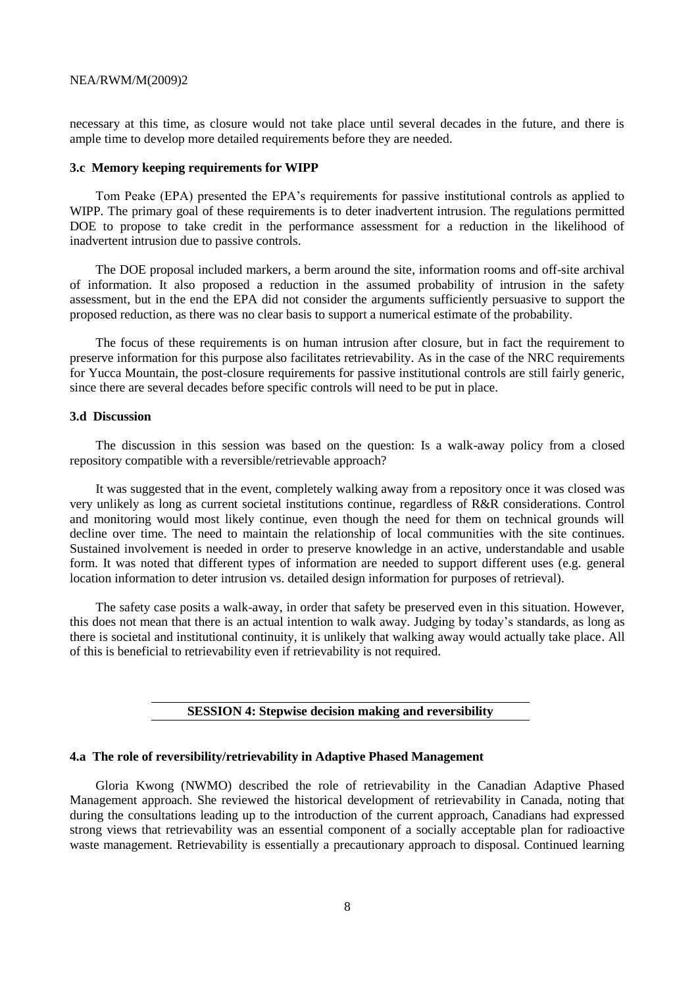necessary at this time, as closure would not take place until several decades in the future, and there is ample time to develop more detailed requirements before they are needed.

#### **3.c Memory keeping requirements for WIPP**

Tom Peake (EPA) presented the EPA's requirements for passive institutional controls as applied to WIPP. The primary goal of these requirements is to deter inadvertent intrusion. The regulations permitted DOE to propose to take credit in the performance assessment for a reduction in the likelihood of inadvertent intrusion due to passive controls.

The DOE proposal included markers, a berm around the site, information rooms and off-site archival of information. It also proposed a reduction in the assumed probability of intrusion in the safety assessment, but in the end the EPA did not consider the arguments sufficiently persuasive to support the proposed reduction, as there was no clear basis to support a numerical estimate of the probability.

The focus of these requirements is on human intrusion after closure, but in fact the requirement to preserve information for this purpose also facilitates retrievability. As in the case of the NRC requirements for Yucca Mountain, the post-closure requirements for passive institutional controls are still fairly generic, since there are several decades before specific controls will need to be put in place.

### **3.d Discussion**

The discussion in this session was based on the question: Is a walk-away policy from a closed repository compatible with a reversible/retrievable approach?

It was suggested that in the event, completely walking away from a repository once it was closed was very unlikely as long as current societal institutions continue, regardless of R&R considerations. Control and monitoring would most likely continue, even though the need for them on technical grounds will decline over time. The need to maintain the relationship of local communities with the site continues. Sustained involvement is needed in order to preserve knowledge in an active, understandable and usable form. It was noted that different types of information are needed to support different uses (e.g. general location information to deter intrusion vs. detailed design information for purposes of retrieval).

The safety case posits a walk-away, in order that safety be preserved even in this situation. However, this does not mean that there is an actual intention to walk away. Judging by today's standards, as long as there is societal and institutional continuity, it is unlikely that walking away would actually take place. All of this is beneficial to retrievability even if retrievability is not required.

# **SESSION 4: Stepwise decision making and reversibility**

#### **4.a The role of reversibility/retrievability in Adaptive Phased Management**

Gloria Kwong (NWMO) described the role of retrievability in the Canadian Adaptive Phased Management approach. She reviewed the historical development of retrievability in Canada, noting that during the consultations leading up to the introduction of the current approach, Canadians had expressed strong views that retrievability was an essential component of a socially acceptable plan for radioactive waste management. Retrievability is essentially a precautionary approach to disposal. Continued learning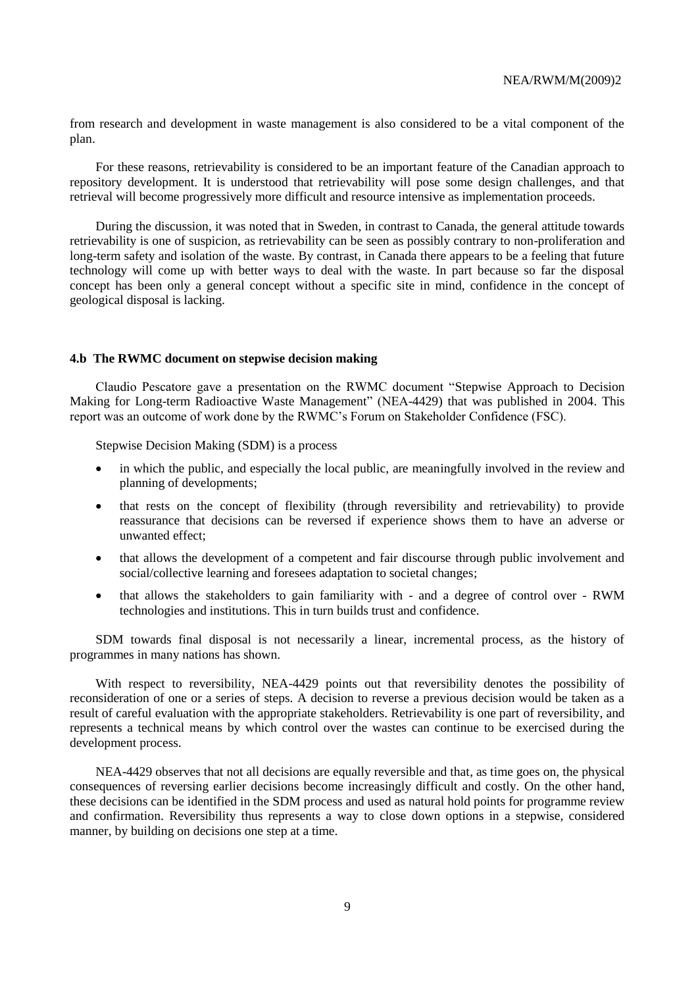from research and development in waste management is also considered to be a vital component of the plan.

For these reasons, retrievability is considered to be an important feature of the Canadian approach to repository development. It is understood that retrievability will pose some design challenges, and that retrieval will become progressively more difficult and resource intensive as implementation proceeds.

During the discussion, it was noted that in Sweden, in contrast to Canada, the general attitude towards retrievability is one of suspicion, as retrievability can be seen as possibly contrary to non-proliferation and long-term safety and isolation of the waste. By contrast, in Canada there appears to be a feeling that future technology will come up with better ways to deal with the waste. In part because so far the disposal concept has been only a general concept without a specific site in mind, confidence in the concept of geological disposal is lacking.

#### **4.b The RWMC document on stepwise decision making**

Claudio Pescatore gave a presentation on the RWMC document "Stepwise Approach to Decision Making for Long-term Radioactive Waste Management" (NEA-4429) that was published in 2004. This report was an outcome of work done by the RWMC's Forum on Stakeholder Confidence (FSC).

Stepwise Decision Making (SDM) is a process

- in which the public, and especially the local public, are meaningfully involved in the review and planning of developments;
- that rests on the concept of flexibility (through reversibility and retrievability) to provide reassurance that decisions can be reversed if experience shows them to have an adverse or unwanted effect;
- that allows the development of a competent and fair discourse through public involvement and social/collective learning and foresees adaptation to societal changes;
- that allows the stakeholders to gain familiarity with and a degree of control over RWM technologies and institutions. This in turn builds trust and confidence.

SDM towards final disposal is not necessarily a linear, incremental process, as the history of programmes in many nations has shown.

With respect to reversibility, NEA-4429 points out that reversibility denotes the possibility of reconsideration of one or a series of steps. A decision to reverse a previous decision would be taken as a result of careful evaluation with the appropriate stakeholders. Retrievability is one part of reversibility, and represents a technical means by which control over the wastes can continue to be exercised during the development process.

NEA-4429 observes that not all decisions are equally reversible and that, as time goes on, the physical consequences of reversing earlier decisions become increasingly difficult and costly. On the other hand, these decisions can be identified in the SDM process and used as natural hold points for programme review and confirmation. Reversibility thus represents a way to close down options in a stepwise, considered manner, by building on decisions one step at a time.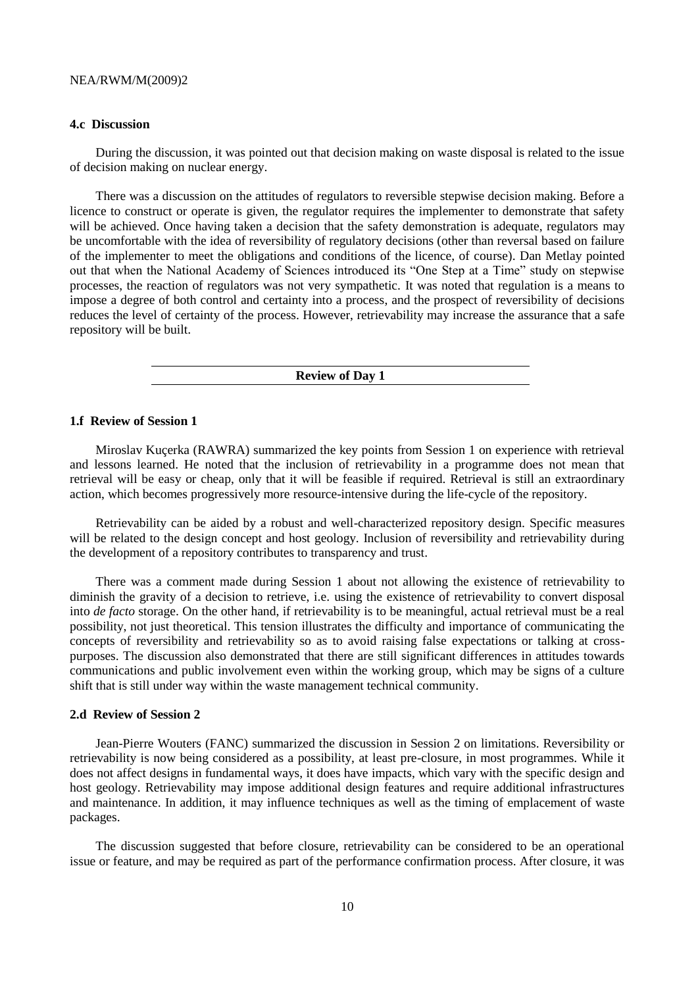### **4.c Discussion**

During the discussion, it was pointed out that decision making on waste disposal is related to the issue of decision making on nuclear energy.

There was a discussion on the attitudes of regulators to reversible stepwise decision making. Before a licence to construct or operate is given, the regulator requires the implementer to demonstrate that safety will be achieved. Once having taken a decision that the safety demonstration is adequate, regulators may be uncomfortable with the idea of reversibility of regulatory decisions (other than reversal based on failure of the implementer to meet the obligations and conditions of the licence, of course). Dan Metlay pointed out that when the National Academy of Sciences introduced its "One Step at a Time" study on stepwise processes, the reaction of regulators was not very sympathetic. It was noted that regulation is a means to impose a degree of both control and certainty into a process, and the prospect of reversibility of decisions reduces the level of certainty of the process. However, retrievability may increase the assurance that a safe repository will be built.

**Review of Day 1**

#### **1.f Review of Session 1**

Miroslav Kuçerka (RAWRA) summarized the key points from Session 1 on experience with retrieval and lessons learned. He noted that the inclusion of retrievability in a programme does not mean that retrieval will be easy or cheap, only that it will be feasible if required. Retrieval is still an extraordinary action, which becomes progressively more resource-intensive during the life-cycle of the repository.

Retrievability can be aided by a robust and well-characterized repository design. Specific measures will be related to the design concept and host geology. Inclusion of reversibility and retrievability during the development of a repository contributes to transparency and trust.

There was a comment made during Session 1 about not allowing the existence of retrievability to diminish the gravity of a decision to retrieve, i.e. using the existence of retrievability to convert disposal into *de facto* storage. On the other hand, if retrievability is to be meaningful, actual retrieval must be a real possibility, not just theoretical. This tension illustrates the difficulty and importance of communicating the concepts of reversibility and retrievability so as to avoid raising false expectations or talking at crosspurposes. The discussion also demonstrated that there are still significant differences in attitudes towards communications and public involvement even within the working group, which may be signs of a culture shift that is still under way within the waste management technical community.

## **2.d Review of Session 2**

Jean-Pierre Wouters (FANC) summarized the discussion in Session 2 on limitations. Reversibility or retrievability is now being considered as a possibility, at least pre-closure, in most programmes. While it does not affect designs in fundamental ways, it does have impacts, which vary with the specific design and host geology. Retrievability may impose additional design features and require additional infrastructures and maintenance. In addition, it may influence techniques as well as the timing of emplacement of waste packages.

The discussion suggested that before closure, retrievability can be considered to be an operational issue or feature, and may be required as part of the performance confirmation process. After closure, it was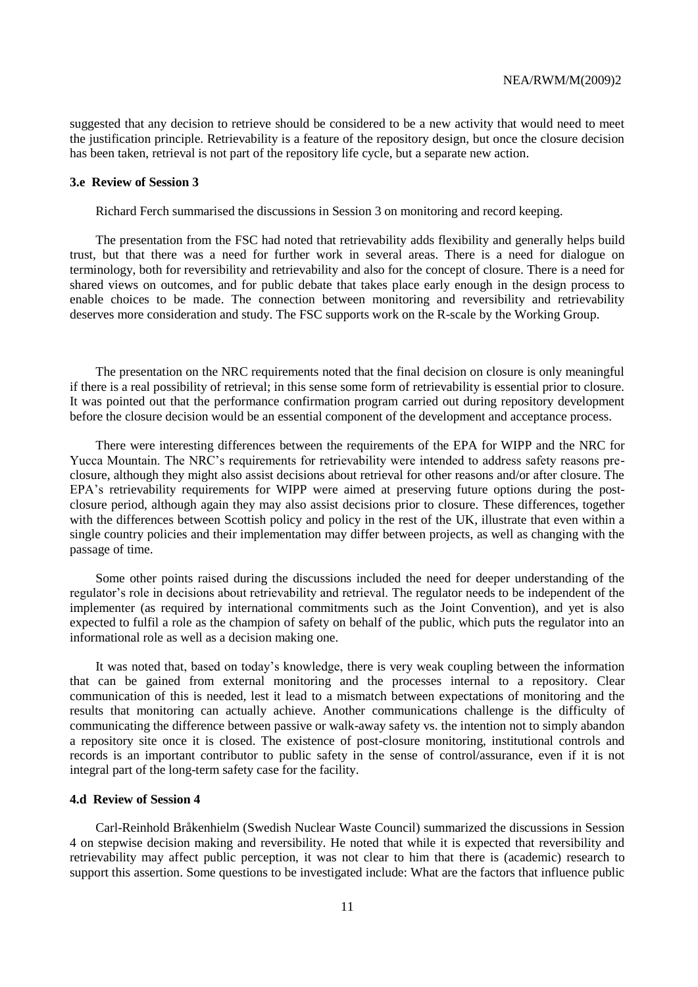suggested that any decision to retrieve should be considered to be a new activity that would need to meet the justification principle. Retrievability is a feature of the repository design, but once the closure decision has been taken, retrieval is not part of the repository life cycle, but a separate new action.

#### **3.e Review of Session 3**

Richard Ferch summarised the discussions in Session 3 on monitoring and record keeping.

The presentation from the FSC had noted that retrievability adds flexibility and generally helps build trust, but that there was a need for further work in several areas. There is a need for dialogue on terminology, both for reversibility and retrievability and also for the concept of closure. There is a need for shared views on outcomes, and for public debate that takes place early enough in the design process to enable choices to be made. The connection between monitoring and reversibility and retrievability deserves more consideration and study. The FSC supports work on the R-scale by the Working Group.

The presentation on the NRC requirements noted that the final decision on closure is only meaningful if there is a real possibility of retrieval; in this sense some form of retrievability is essential prior to closure. It was pointed out that the performance confirmation program carried out during repository development before the closure decision would be an essential component of the development and acceptance process.

There were interesting differences between the requirements of the EPA for WIPP and the NRC for Yucca Mountain. The NRC's requirements for retrievability were intended to address safety reasons preclosure, although they might also assist decisions about retrieval for other reasons and/or after closure. The EPA's retrievability requirements for WIPP were aimed at preserving future options during the postclosure period, although again they may also assist decisions prior to closure. These differences, together with the differences between Scottish policy and policy in the rest of the UK, illustrate that even within a single country policies and their implementation may differ between projects, as well as changing with the passage of time.

Some other points raised during the discussions included the need for deeper understanding of the regulator's role in decisions about retrievability and retrieval. The regulator needs to be independent of the implementer (as required by international commitments such as the Joint Convention), and yet is also expected to fulfil a role as the champion of safety on behalf of the public, which puts the regulator into an informational role as well as a decision making one.

It was noted that, based on today's knowledge, there is very weak coupling between the information that can be gained from external monitoring and the processes internal to a repository. Clear communication of this is needed, lest it lead to a mismatch between expectations of monitoring and the results that monitoring can actually achieve. Another communications challenge is the difficulty of communicating the difference between passive or walk-away safety vs. the intention not to simply abandon a repository site once it is closed. The existence of post-closure monitoring, institutional controls and records is an important contributor to public safety in the sense of control/assurance, even if it is not integral part of the long-term safety case for the facility.

#### **4.d Review of Session 4**

Carl-Reinhold Bråkenhielm (Swedish Nuclear Waste Council) summarized the discussions in Session 4 on stepwise decision making and reversibility. He noted that while it is expected that reversibility and retrievability may affect public perception, it was not clear to him that there is (academic) research to support this assertion. Some questions to be investigated include: What are the factors that influence public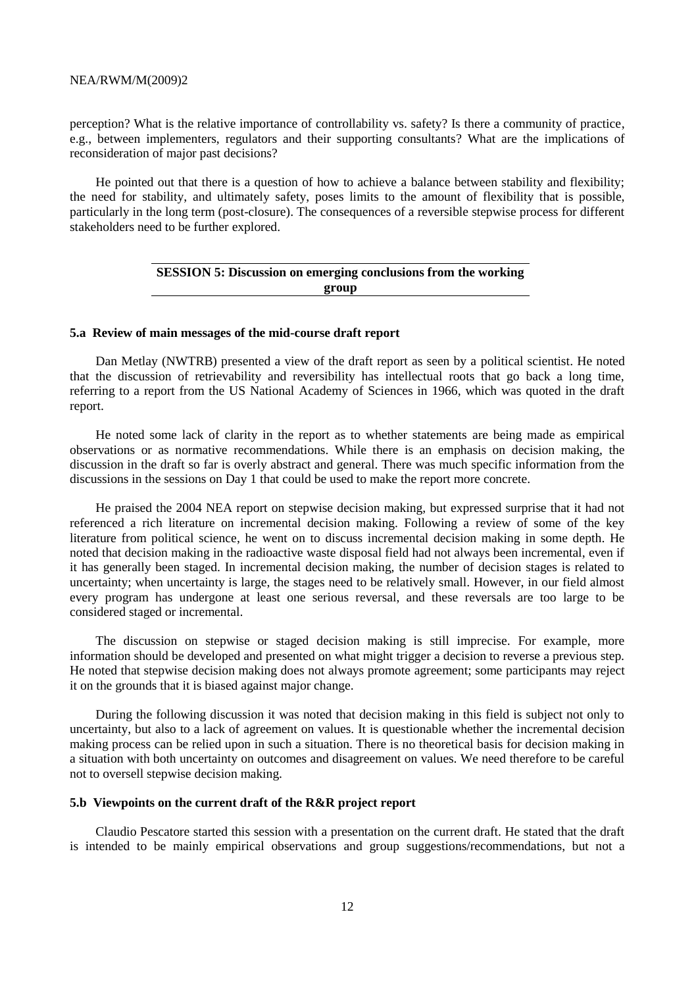perception? What is the relative importance of controllability vs. safety? Is there a community of practice, e.g., between implementers, regulators and their supporting consultants? What are the implications of reconsideration of major past decisions?

He pointed out that there is a question of how to achieve a balance between stability and flexibility; the need for stability, and ultimately safety, poses limits to the amount of flexibility that is possible, particularly in the long term (post-closure). The consequences of a reversible stepwise process for different stakeholders need to be further explored.

# **SESSION 5: Discussion on emerging conclusions from the working group**

### **5.a Review of main messages of the mid-course draft report**

Dan Metlay (NWTRB) presented a view of the draft report as seen by a political scientist. He noted that the discussion of retrievability and reversibility has intellectual roots that go back a long time, referring to a report from the US National Academy of Sciences in 1966, which was quoted in the draft report.

He noted some lack of clarity in the report as to whether statements are being made as empirical observations or as normative recommendations. While there is an emphasis on decision making, the discussion in the draft so far is overly abstract and general. There was much specific information from the discussions in the sessions on Day 1 that could be used to make the report more concrete.

He praised the 2004 NEA report on stepwise decision making, but expressed surprise that it had not referenced a rich literature on incremental decision making. Following a review of some of the key literature from political science, he went on to discuss incremental decision making in some depth. He noted that decision making in the radioactive waste disposal field had not always been incremental, even if it has generally been staged. In incremental decision making, the number of decision stages is related to uncertainty; when uncertainty is large, the stages need to be relatively small. However, in our field almost every program has undergone at least one serious reversal, and these reversals are too large to be considered staged or incremental.

The discussion on stepwise or staged decision making is still imprecise. For example, more information should be developed and presented on what might trigger a decision to reverse a previous step. He noted that stepwise decision making does not always promote agreement; some participants may reject it on the grounds that it is biased against major change.

During the following discussion it was noted that decision making in this field is subject not only to uncertainty, but also to a lack of agreement on values. It is questionable whether the incremental decision making process can be relied upon in such a situation. There is no theoretical basis for decision making in a situation with both uncertainty on outcomes and disagreement on values. We need therefore to be careful not to oversell stepwise decision making.

#### **5.b Viewpoints on the current draft of the R&R project report**

Claudio Pescatore started this session with a presentation on the current draft. He stated that the draft is intended to be mainly empirical observations and group suggestions/recommendations, but not a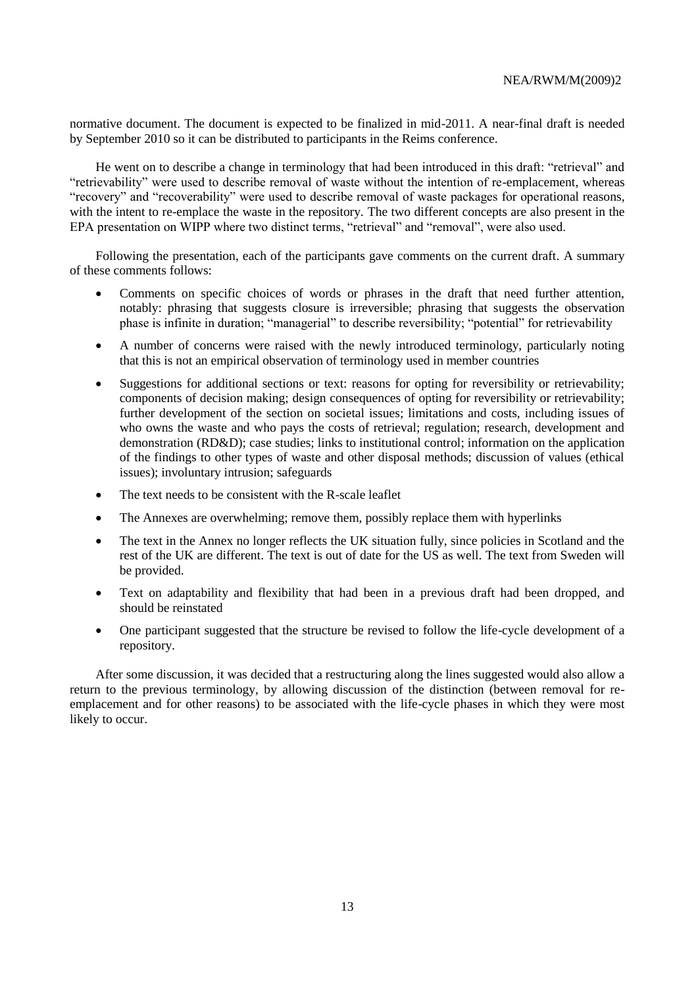normative document. The document is expected to be finalized in mid-2011. A near-final draft is needed by September 2010 so it can be distributed to participants in the Reims conference.

He went on to describe a change in terminology that had been introduced in this draft: "retrieval" and "retrievability" were used to describe removal of waste without the intention of re-emplacement, whereas "recovery" and "recoverability" were used to describe removal of waste packages for operational reasons, with the intent to re-emplace the waste in the repository. The two different concepts are also present in the EPA presentation on WIPP where two distinct terms, "retrieval" and "removal", were also used.

Following the presentation, each of the participants gave comments on the current draft. A summary of these comments follows:

- Comments on specific choices of words or phrases in the draft that need further attention, notably: phrasing that suggests closure is irreversible; phrasing that suggests the observation phase is infinite in duration; "managerial" to describe reversibility; "potential" for retrievability
- A number of concerns were raised with the newly introduced terminology, particularly noting that this is not an empirical observation of terminology used in member countries
- Suggestions for additional sections or text: reasons for opting for reversibility or retrievability; components of decision making; design consequences of opting for reversibility or retrievability; further development of the section on societal issues; limitations and costs, including issues of who owns the waste and who pays the costs of retrieval; regulation; research, development and demonstration (RD&D); case studies; links to institutional control; information on the application of the findings to other types of waste and other disposal methods; discussion of values (ethical issues); involuntary intrusion; safeguards
- The text needs to be consistent with the R-scale leaflet
- The Annexes are overwhelming; remove them, possibly replace them with hyperlinks
- The text in the Annex no longer reflects the UK situation fully, since policies in Scotland and the rest of the UK are different. The text is out of date for the US as well. The text from Sweden will be provided.
- Text on adaptability and flexibility that had been in a previous draft had been dropped, and should be reinstated
- One participant suggested that the structure be revised to follow the life-cycle development of a repository.

After some discussion, it was decided that a restructuring along the lines suggested would also allow a return to the previous terminology, by allowing discussion of the distinction (between removal for reemplacement and for other reasons) to be associated with the life-cycle phases in which they were most likely to occur.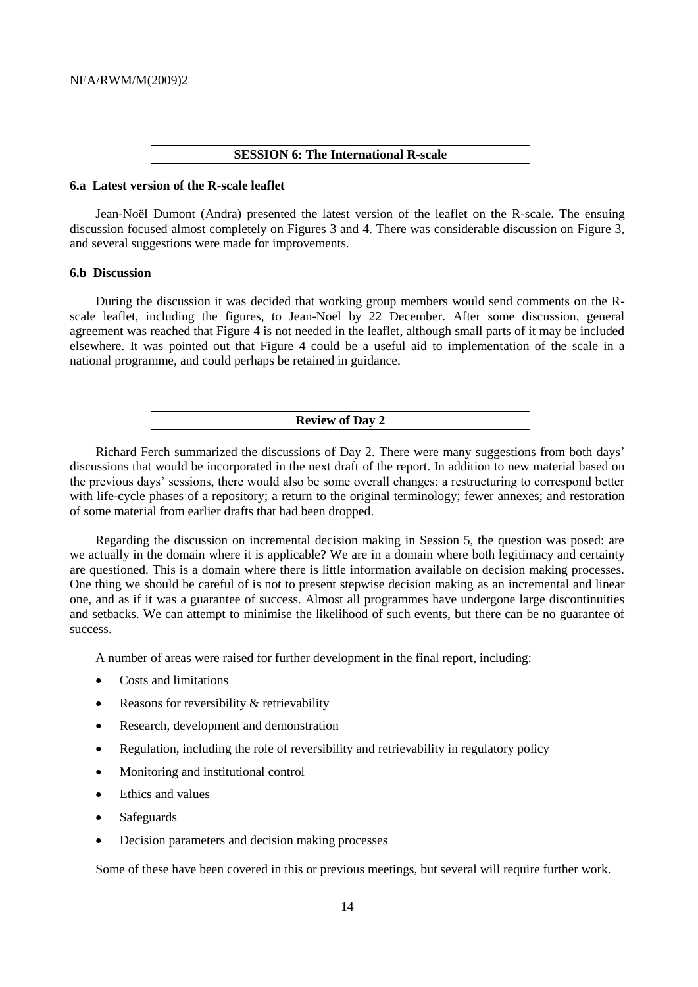### **SESSION 6: The International R-scale**

## **6.a Latest version of the R-scale leaflet**

Jean-Noël Dumont (Andra) presented the latest version of the leaflet on the R-scale. The ensuing discussion focused almost completely on Figures 3 and 4. There was considerable discussion on Figure 3, and several suggestions were made for improvements.

#### **6.b Discussion**

During the discussion it was decided that working group members would send comments on the Rscale leaflet, including the figures, to Jean-Noël by 22 December. After some discussion, general agreement was reached that Figure 4 is not needed in the leaflet, although small parts of it may be included elsewhere. It was pointed out that Figure 4 could be a useful aid to implementation of the scale in a national programme, and could perhaps be retained in guidance.

## **Review of Day 2**

Richard Ferch summarized the discussions of Day 2. There were many suggestions from both days' discussions that would be incorporated in the next draft of the report. In addition to new material based on the previous days' sessions, there would also be some overall changes: a restructuring to correspond better with life-cycle phases of a repository; a return to the original terminology; fewer annexes; and restoration of some material from earlier drafts that had been dropped.

Regarding the discussion on incremental decision making in Session 5, the question was posed: are we actually in the domain where it is applicable? We are in a domain where both legitimacy and certainty are questioned. This is a domain where there is little information available on decision making processes. One thing we should be careful of is not to present stepwise decision making as an incremental and linear one, and as if it was a guarantee of success. Almost all programmes have undergone large discontinuities and setbacks. We can attempt to minimise the likelihood of such events, but there can be no guarantee of success.

A number of areas were raised for further development in the final report, including:

- Costs and limitations
- Reasons for reversibility & retrievability
- Research, development and demonstration
- Regulation, including the role of reversibility and retrievability in regulatory policy
- Monitoring and institutional control
- Ethics and values
- Safeguards
- Decision parameters and decision making processes

Some of these have been covered in this or previous meetings, but several will require further work.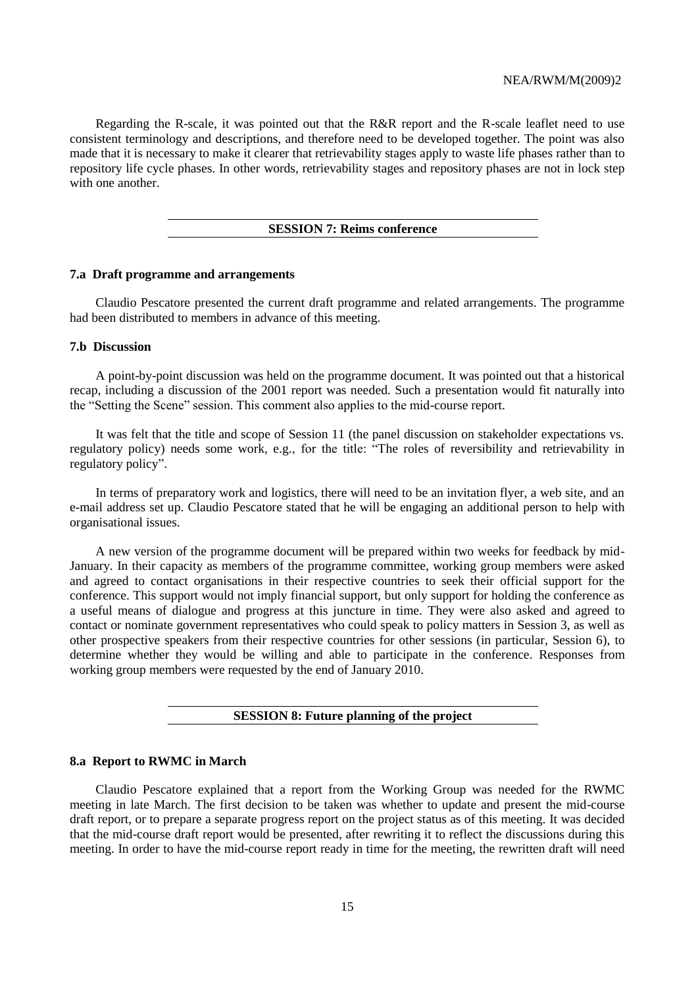Regarding the R-scale, it was pointed out that the R&R report and the R-scale leaflet need to use consistent terminology and descriptions, and therefore need to be developed together. The point was also made that it is necessary to make it clearer that retrievability stages apply to waste life phases rather than to repository life cycle phases. In other words, retrievability stages and repository phases are not in lock step with one another.

## **SESSION 7: Reims conference**

#### **7.a Draft programme and arrangements**

Claudio Pescatore presented the current draft programme and related arrangements. The programme had been distributed to members in advance of this meeting.

# **7.b Discussion**

A point-by-point discussion was held on the programme document. It was pointed out that a historical recap, including a discussion of the 2001 report was needed. Such a presentation would fit naturally into the "Setting the Scene" session. This comment also applies to the mid-course report.

It was felt that the title and scope of Session 11 (the panel discussion on stakeholder expectations vs. regulatory policy) needs some work, e.g., for the title: "The roles of reversibility and retrievability in regulatory policy".

In terms of preparatory work and logistics, there will need to be an invitation flyer, a web site, and an e-mail address set up. Claudio Pescatore stated that he will be engaging an additional person to help with organisational issues.

A new version of the programme document will be prepared within two weeks for feedback by mid-January. In their capacity as members of the programme committee, working group members were asked and agreed to contact organisations in their respective countries to seek their official support for the conference. This support would not imply financial support, but only support for holding the conference as a useful means of dialogue and progress at this juncture in time. They were also asked and agreed to contact or nominate government representatives who could speak to policy matters in Session 3, as well as other prospective speakers from their respective countries for other sessions (in particular, Session 6), to determine whether they would be willing and able to participate in the conference. Responses from working group members were requested by the end of January 2010.

# **SESSION 8: Future planning of the project**

### **8.a Report to RWMC in March**

Claudio Pescatore explained that a report from the Working Group was needed for the RWMC meeting in late March. The first decision to be taken was whether to update and present the mid-course draft report, or to prepare a separate progress report on the project status as of this meeting. It was decided that the mid-course draft report would be presented, after rewriting it to reflect the discussions during this meeting. In order to have the mid-course report ready in time for the meeting, the rewritten draft will need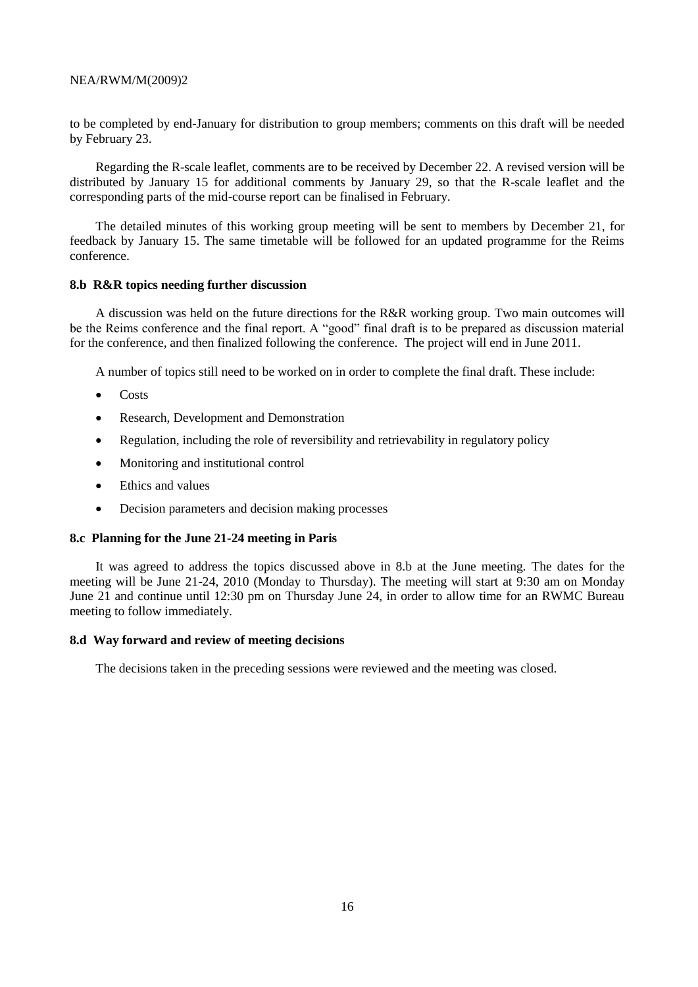to be completed by end-January for distribution to group members; comments on this draft will be needed by February 23.

Regarding the R-scale leaflet, comments are to be received by December 22. A revised version will be distributed by January 15 for additional comments by January 29, so that the R-scale leaflet and the corresponding parts of the mid-course report can be finalised in February.

The detailed minutes of this working group meeting will be sent to members by December 21, for feedback by January 15. The same timetable will be followed for an updated programme for the Reims conference.

# **8.b R&R topics needing further discussion**

A discussion was held on the future directions for the R&R working group. Two main outcomes will be the Reims conference and the final report. A "good" final draft is to be prepared as discussion material for the conference, and then finalized following the conference. The project will end in June 2011.

A number of topics still need to be worked on in order to complete the final draft. These include:

- Costs
- Research, Development and Demonstration
- Regulation, including the role of reversibility and retrievability in regulatory policy
- Monitoring and institutional control
- Ethics and values
- Decision parameters and decision making processes

# **8.c Planning for the June 21-24 meeting in Paris**

It was agreed to address the topics discussed above in 8.b at the June meeting. The dates for the meeting will be June 21-24, 2010 (Monday to Thursday). The meeting will start at 9:30 am on Monday June 21 and continue until 12:30 pm on Thursday June 24, in order to allow time for an RWMC Bureau meeting to follow immediately.

# **8.d Way forward and review of meeting decisions**

The decisions taken in the preceding sessions were reviewed and the meeting was closed.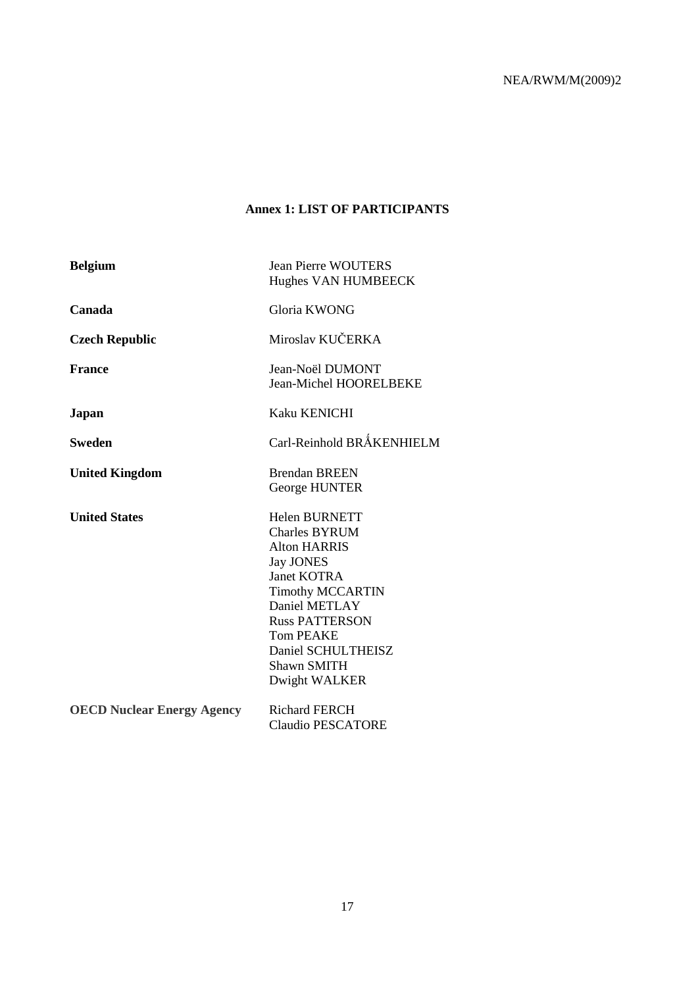# **Annex 1: LIST OF PARTICIPANTS**

| <b>Belgium</b>                    | <b>Jean Pierre WOUTERS</b><br>Hughes VAN HUMBEECK                                                                                                                                                                                                                   |
|-----------------------------------|---------------------------------------------------------------------------------------------------------------------------------------------------------------------------------------------------------------------------------------------------------------------|
| Canada                            | Gloria KWONG                                                                                                                                                                                                                                                        |
| <b>Czech Republic</b>             | Miroslav KUČERKA                                                                                                                                                                                                                                                    |
| <b>France</b>                     | Jean-Noël DUMONT<br><b>Jean-Michel HOORELBEKE</b>                                                                                                                                                                                                                   |
| Japan                             | <b>Kaku KENICHI</b>                                                                                                                                                                                                                                                 |
| Sweden                            | Carl-Reinhold BRÅKENHIELM                                                                                                                                                                                                                                           |
| <b>United Kingdom</b>             | <b>Brendan BREEN</b><br><b>George HUNTER</b>                                                                                                                                                                                                                        |
| <b>United States</b>              | <b>Helen BURNETT</b><br><b>Charles BYRUM</b><br><b>Alton HARRIS</b><br><b>Jay JONES</b><br><b>Janet KOTRA</b><br><b>Timothy MCCARTIN</b><br>Daniel METLAY<br><b>Russ PATTERSON</b><br><b>Tom PEAKE</b><br>Daniel SCHULTHEISZ<br><b>Shawn SMITH</b><br>Dwight WALKER |
| <b>OECD Nuclear Energy Agency</b> | <b>Richard FERCH</b><br><b>Claudio PESCATORE</b>                                                                                                                                                                                                                    |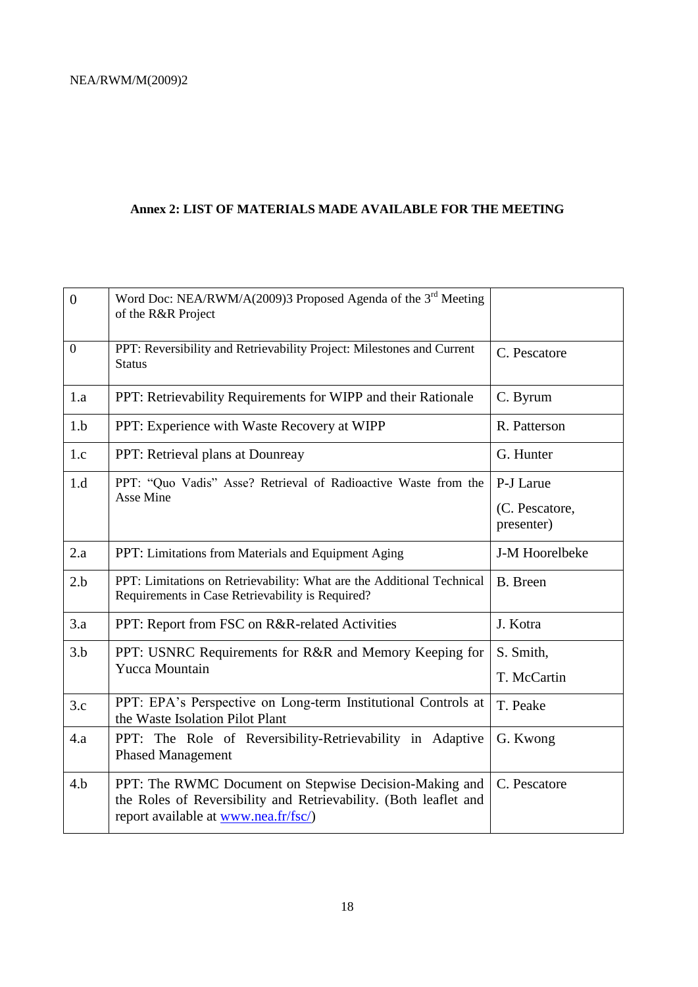# **Annex 2: LIST OF MATERIALS MADE AVAILABLE FOR THE MEETING**

| $\overline{0}$   | Word Doc: NEA/RWM/A(2009)3 Proposed Agenda of the 3 <sup>rd</sup> Meeting<br>of the R&R Project                                                                            |                                           |
|------------------|----------------------------------------------------------------------------------------------------------------------------------------------------------------------------|-------------------------------------------|
| $\boldsymbol{0}$ | PPT: Reversibility and Retrievability Project: Milestones and Current<br><b>Status</b>                                                                                     | C. Pescatore                              |
| 1.a              | PPT: Retrievability Requirements for WIPP and their Rationale                                                                                                              | C. Byrum                                  |
| 1.b              | PPT: Experience with Waste Recovery at WIPP                                                                                                                                | R. Patterson                              |
| 1.c              | PPT: Retrieval plans at Dounreay                                                                                                                                           | G. Hunter                                 |
| 1.d              | PPT: "Quo Vadis" Asse? Retrieval of Radioactive Waste from the<br>Asse Mine                                                                                                | P-J Larue<br>(C. Pescatore,<br>presenter) |
| 2.a              | PPT: Limitations from Materials and Equipment Aging                                                                                                                        | J-M Hoorelbeke                            |
| 2.b              | PPT: Limitations on Retrievability: What are the Additional Technical<br>Requirements in Case Retrievability is Required?                                                  | <b>B.</b> Breen                           |
| 3.a              | PPT: Report from FSC on R&R-related Activities                                                                                                                             | J. Kotra                                  |
| 3.b              | PPT: USNRC Requirements for R&R and Memory Keeping for<br><b>Yucca Mountain</b>                                                                                            | S. Smith,                                 |
|                  |                                                                                                                                                                            | T. McCartin                               |
| 3.c              | PPT: EPA's Perspective on Long-term Institutional Controls at<br>the Waste Isolation Pilot Plant                                                                           | T. Peake                                  |
| 4.a              | PPT: The Role of Reversibility-Retrievability in Adaptive<br><b>Phased Management</b>                                                                                      | G. Kwong                                  |
| 4.b              | PPT: The RWMC Document on Stepwise Decision-Making and<br>the Roles of Reversibility and Retrievability. (Both leaflet and<br>report available at <u>www.nea.fr/fsc/</u> ) | C. Pescatore                              |